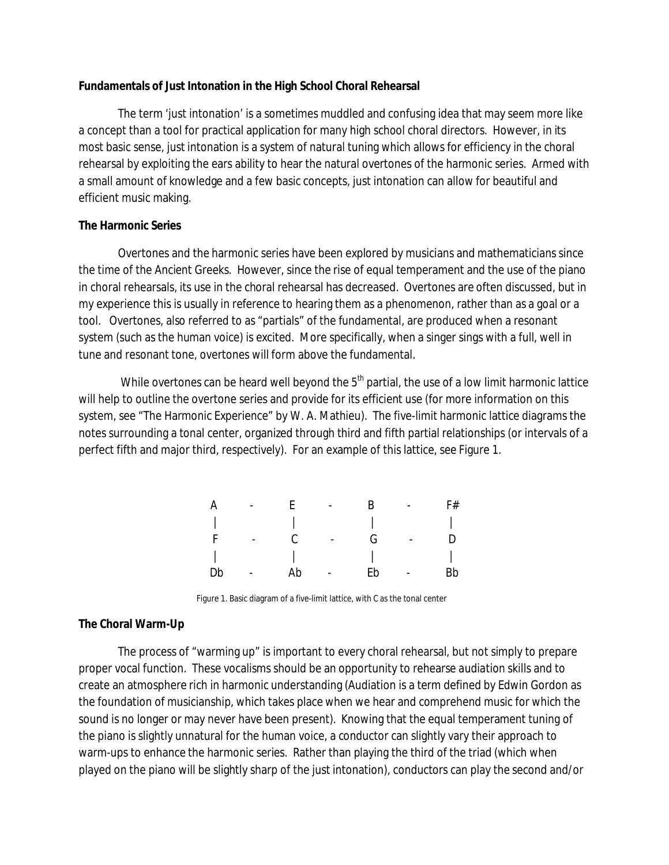### **Fundamentals of Just Intonation in the High School Choral Rehearsal**

The term 'just intonation' is a sometimes muddled and confusing idea that may seem more like a concept than a tool for practical application for many high school choral directors. However, in its most basic sense, just intonation is a system of natural tuning which allows for efficiency in the choral rehearsal by exploiting the ears ability to hear the natural overtones of the harmonic series. Armed with a small amount of knowledge and a few basic concepts, just intonation can allow for beautiful and efficient music making.

### **The Harmonic Series**

Overtones and the harmonic series have been explored by musicians and mathematicians since the time of the Ancient Greeks. However, since the rise of equal temperament and the use of the piano in choral rehearsals, its use in the choral rehearsal has decreased. Overtones are often discussed, but in my experience this is usually in reference to hearing them as a phenomenon, rather than as a goal or a tool. Overtones, also referred to as "partials" of the fundamental, are produced when a resonant system (such as the human voice) is excited. More specifically, when a singer sings with a full, well in tune and resonant tone, overtones will form above the fundamental.

While overtones can be heard well beyond the  $5<sup>th</sup>$  partial, the use of a low limit harmonic lattice will help to outline the overtone series and provide for its efficient use (for more information on this system, see "The Harmonic Experience" by W. A. Mathieu). The five-limit harmonic lattice diagrams the notes surrounding a tonal center, organized through third and fifth partial relationships (or intervals of a perfect fifth and major third, respectively). For an example of this lattice, see Figure 1.

| A  | $\overline{\phantom{0}}$ | ь. | $\overline{\phantom{0}}$ | к  | $\overline{\phantom{a}}$ | F# |
|----|--------------------------|----|--------------------------|----|--------------------------|----|
|    |                          |    |                          |    |                          |    |
|    |                          |    | $\overline{\phantom{a}}$ | G. |                          |    |
|    |                          |    |                          |    |                          |    |
| Db |                          | Ab |                          | Eb |                          | Bb |

Figure 1. Basic diagram of a five-limit lattice, with C as the tonal center

## **The Choral Warm-Up**

The process of "warming up" is important to every choral rehearsal, but not simply to prepare proper vocal function. These vocalisms should be an opportunity to rehearse *audiation* skills and to create an atmosphere rich in harmonic understanding (Audiation is a term defined by Edwin Gordon as the foundation of musicianship, which takes place when we hear and comprehend music for which the sound is no longer or may never have been present). Knowing that the equal temperament tuning of the piano is slightly unnatural for the human voice, a conductor can slightly vary their approach to warm-ups to enhance the harmonic series. Rather than playing the third of the triad (which when played on the piano will be slightly sharp of the just intonation), conductors can play the second and/or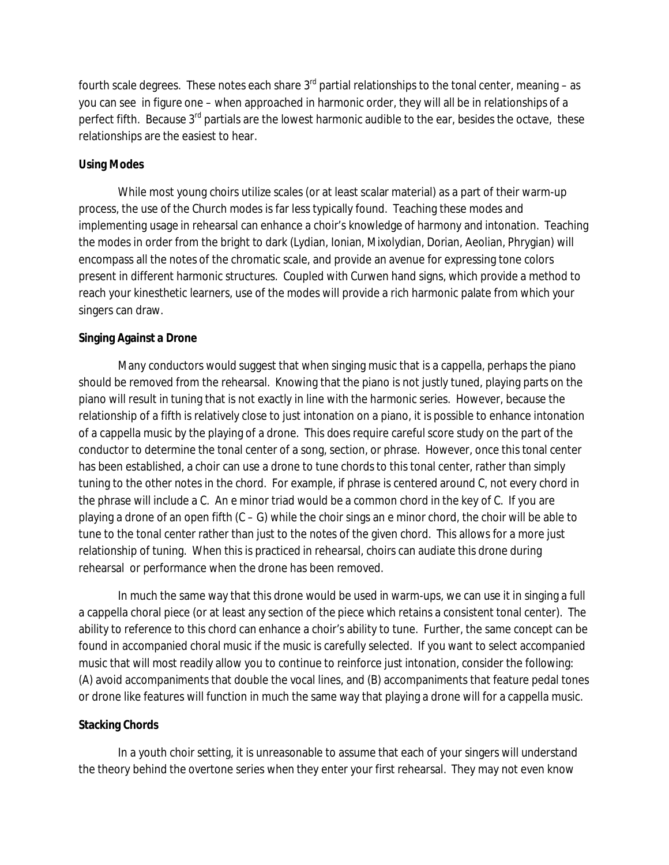fourth scale degrees. These notes each share  $3<sup>rd</sup>$  partial relationships to the tonal center, meaning – as you can see in figure one – when approached in harmonic order, they will all be in relationships of a perfect fifth. Because 3<sup>rd</sup> partials are the lowest harmonic audible to the ear, besides the octave, these relationships are the easiest to hear.

# **Using Modes**

While most young choirs utilize scales (or at least scalar material) as a part of their warm-up process, the use of the Church modes is far less typically found. Teaching these modes and implementing usage in rehearsal can enhance a choir's knowledge of harmony and intonation. Teaching the modes in order from the bright to dark (Lydian, Ionian, Mixolydian, Dorian, Aeolian, Phrygian) will encompass all the notes of the chromatic scale, and provide an avenue for expressing tone colors present in different harmonic structures. Coupled with Curwen hand signs, which provide a method to reach your kinesthetic learners, use of the modes will provide a rich harmonic palate from which your singers can draw.

# **Singing Against a Drone**

Many conductors would suggest that when singing music that is a cappella, perhaps the piano should be removed from the rehearsal. Knowing that the piano is not justly tuned, playing parts on the piano will result in tuning that is not exactly in line with the harmonic series. However, because the relationship of a fifth is relatively close to just intonation on a piano, it is possible to enhance intonation of a cappella music by the playing of a drone. This does require careful score study on the part of the conductor to determine the tonal center of a song, section, or phrase. However, once this tonal center has been established, a choir can use a drone to tune chords to this tonal center, rather than simply tuning to the other notes in the chord. For example, if phrase is centered around C, not every chord in the phrase will include a C. An e minor triad would be a common chord in the key of C. If you are playing a drone of an open fifth  $(C - G)$  while the choir sings an e minor chord, the choir will be able to tune to the tonal center rather than just to the notes of the given chord. This allows for a more just relationship of tuning. When this is practiced in rehearsal, choirs can audiate this drone during rehearsal or performance when the drone has been removed.

In much the same way that this drone would be used in warm-ups, we can use it in singing a full a cappella choral piece (or at least any section of the piece which retains a consistent tonal center). The ability to reference to this chord can enhance a choir's ability to tune. Further, the same concept can be found in accompanied choral music if the music is carefully selected. If you want to select accompanied music that will most readily allow you to continue to reinforce just intonation, consider the following: (A) avoid accompaniments that double the vocal lines, and (B) accompaniments that feature pedal tones or drone like features will function in much the same way that playing a drone will for a cappella music.

## **Stacking Chords**

In a youth choir setting, it is unreasonable to assume that each of your singers will understand the theory behind the overtone series when they enter your first rehearsal. They may not even know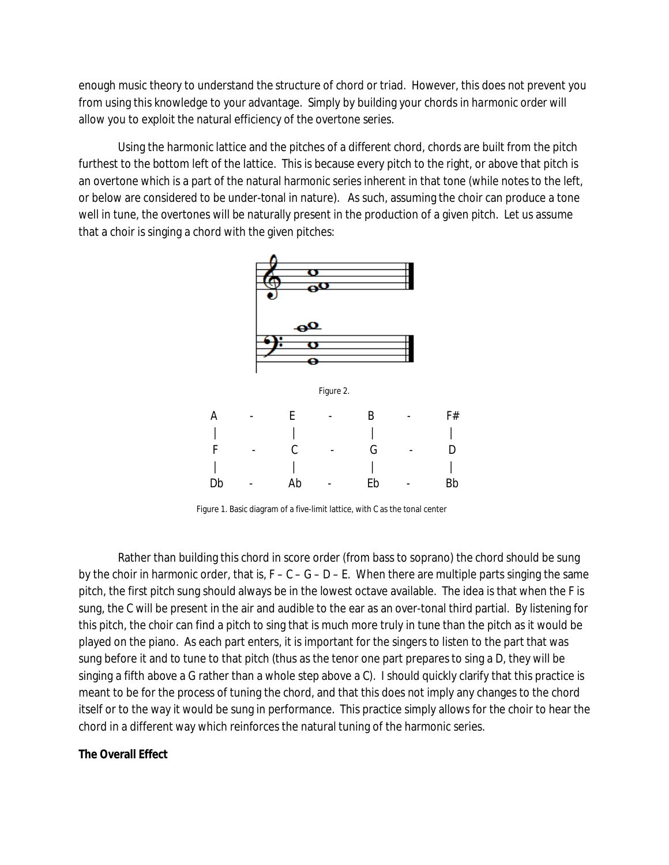enough music theory to understand the structure of chord or triad. However, this does not prevent you from using this knowledge to your advantage. Simply by building your chords in *harmonic order* will allow you to exploit the natural efficiency of the overtone series.

Using the harmonic lattice and the pitches of a different chord, chords are built from the pitch furthest to the bottom left of the lattice. This is because every pitch to the right, or above that pitch is an overtone which is a part of the natural harmonic series inherent in that tone (while notes to the left, or below are considered to be under-tonal in nature). As such, assuming the choir can produce a tone well in tune, the overtones will be naturally present in the production of a given pitch. Let us assume that a choir is singing a chord with the given pitches:



Figure 1. Basic diagram of a five-limit lattice, with C as the tonal center

Rather than building this chord in score order (from bass to soprano) the chord should be sung by the choir in harmonic order, that is,  $F - C - G - D - E$ . When there are multiple parts singing the same pitch, the first pitch sung should always be in the lowest octave available. The idea is that when the F is sung, the C will be present in the air and audible to the ear as an over-tonal third partial. By listening for this pitch, the choir can find a pitch to sing that is much more truly in tune than the pitch as it would be played on the piano. As each part enters, it is important for the singers to listen to the part that was sung before it and to tune to that pitch (thus as the tenor one part prepares to sing a D, they will be singing a fifth above a G rather than a whole step above a C). I should quickly clarify that this practice is meant to be for the process of tuning the chord, and that this does not imply any changes to the chord itself or to the way it would be sung in performance. This practice simply allows for the choir to hear the chord in a different way which reinforces the natural tuning of the harmonic series.

**The Overall Effect**